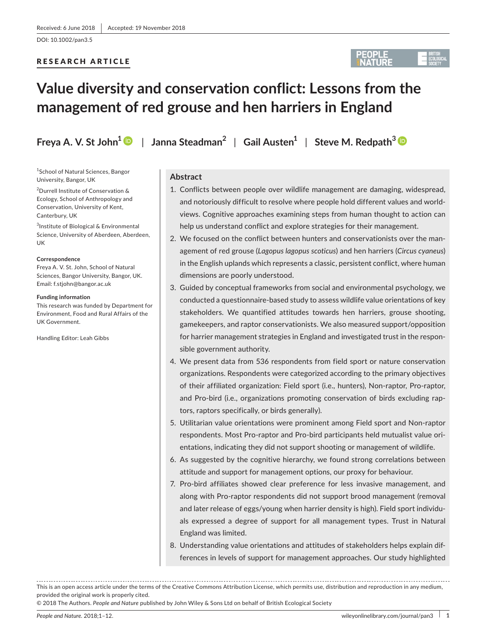DOI: 10.1002/pan3.5

# RESEARCH ARTICLE



# **Value diversity and conservation conflict: Lessons from the management of red grouse and hen harriers in England**

**Freya A. V. St John<sup>1</sup>**  $\bullet$  **| Janna Steadman<sup>2</sup> | Gail Austen<sup>1</sup> | Steve M. Redpath<sup>[3](https://orcid.org/0000-0001-5399-9477)</sup>**  $\bullet$ 

1 School of Natural Sciences, Bangor University, Bangor, UK

2 Durrell Institute of Conservation & Ecology, School of Anthropology and Conservation, University of Kent, Canterbury, UK

3 Institute of Biological & Environmental Science, University of Aberdeen, Aberdeen, UK

#### **Correspondence**

Freya A. V. St. John, School of Natural Sciences, Bangor University, Bangor, UK. Email: [f.stjohn@bangor.ac.uk](mailto:f.stjohn@bangor.ac.uk)

#### **Funding information**

This research was funded by Department for Environment, Food and Rural Affairs of the UK Government.

Handling Editor: Leah Gibbs

# **Abstract**

- 1. Conflicts between people over wildlife management are damaging, widespread, and notoriously difficult to resolve where people hold different values and worldviews. Cognitive approaches examining steps from human thought to action can help us understand conflict and explore strategies for their management.
- 2. We focused on the conflict between hunters and conservationists over the management of red grouse (*Lagopus lagopus scoticus*) and hen harriers (*Circus cyaneus*) in the English uplands which represents a classic, persistent conflict, where human dimensions are poorly understood.
- 3. Guided by conceptual frameworks from social and environmental psychology, we conducted a questionnaire‐based study to assess wildlife value orientations of key stakeholders. We quantified attitudes towards hen harriers, grouse shooting, gamekeepers, and raptor conservationists. We also measured support/opposition for harrier management strategies in England and investigated trust in the responsible government authority.
- 4. We present data from 536 respondents from field sport or nature conservation organizations. Respondents were categorized according to the primary objectives of their affiliated organization: Field sport (i.e., hunters), Non‐raptor, Pro‐raptor, and Pro‐bird (i.e., organizations promoting conservation of birds excluding raptors, raptors specifically, or birds generally).
- 5. Utilitarian value orientations were prominent among Field sport and Non-raptor respondents. Most Pro‐raptor and Pro‐bird participants held mutualist value orientations, indicating they did not support shooting or management of wildlife.
- 6. As suggested by the cognitive hierarchy, we found strong correlations between attitude and support for management options, our proxy for behaviour.
- 7. Pro-bird affiliates showed clear preference for less invasive management, and along with Pro‐raptor respondents did not support brood management (removal and later release of eggs/young when harrier density is high). Field sport individuals expressed a degree of support for all management types. Trust in Natural England was limited.
- 8. Understanding value orientations and attitudes of stakeholders helps explain differences in levels of support for management approaches. Our study highlighted

This is an open access article under the terms of the Creative Commons [Attribution](http://creativecommons.org/licenses/by/4.0/) License, which permits use, distribution and reproduction in any medium, provided the original work is properly cited.

© 2018 The Authors. *People and Nature* published by John Wiley & Sons Ltd on behalf of British Ecological Society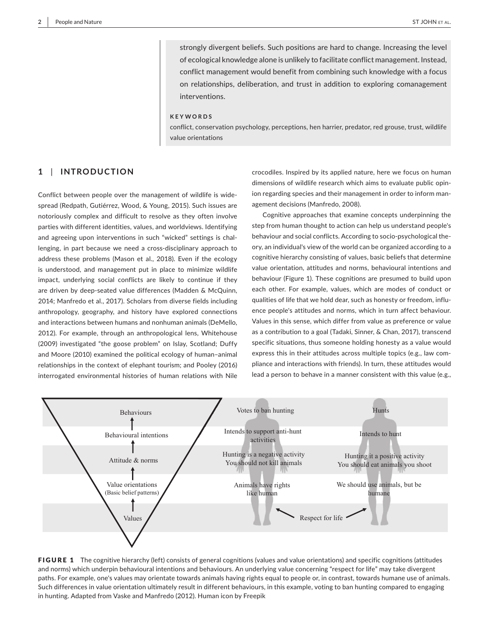strongly divergent beliefs. Such positions are hard to change. Increasing the level of ecological knowledge alone is unlikely to facilitate conflict management. Instead, conflict management would benefit from combining such knowledge with a focus on relationships, deliberation, and trust in addition to exploring comanagement interventions.

#### **KEYWORDS**

conflict, conservation psychology, perceptions, hen harrier, predator, red grouse, trust, wildlife value orientations

# **1** | **INTRODUCTION**

Conflict between people over the management of wildlife is widespread (Redpath, Gutiérrez, Wood, & Young, 2015). Such issues are notoriously complex and difficult to resolve as they often involve parties with different identities, values, and worldviews. Identifying and agreeing upon interventions in such "wicked" settings is challenging, in part because we need a cross-disciplinary approach to address these problems (Mason et al., 2018). Even if the ecology is understood, and management put in place to minimize wildlife impact, underlying social conflicts are likely to continue if they are driven by deep‐seated value differences (Madden & McQuinn, 2014; Manfredo et al., 2017). Scholars from diverse fields including anthropology, geography, and history have explored connections and interactions between humans and nonhuman animals (DeMello, 2012). For example, through an anthropological lens, Whitehouse (2009) investigated "the goose problem" on Islay, Scotland; Duffy and Moore (2010) examined the political ecology of human–animal relationships in the context of elephant tourism; and Pooley (2016) interrogated environmental histories of human relations with Nile

crocodiles. Inspired by its applied nature, here we focus on human dimensions of wildlife research which aims to evaluate public opinion regarding species and their management in order to inform management decisions (Manfredo, 2008).

Cognitive approaches that examine concepts underpinning the step from human thought to action can help us understand people's behaviour and social conflicts. According to socio‐psychological theory, an individual's view of the world can be organized according to a cognitive hierarchy consisting of values, basic beliefs that determine value orientation, attitudes and norms, behavioural intentions and behaviour (Figure 1). These cognitions are presumed to build upon each other. For example, values, which are modes of conduct or qualities of life that we hold dear, such as honesty or freedom, influence people's attitudes and norms, which in turn affect behaviour. Values in this sense, which differ from value as preference or value as a contribution to a goal (Tadaki, Sinner, & Chan, 2017), transcend specific situations, thus someone holding honesty as a value would express this in their attitudes across multiple topics (e.g., law compliance and interactions with friends). In turn, these attitudes would lead a person to behave in a manner consistent with this value (e.g.,



FIGURE 1 The cognitive hierarchy (left) consists of general cognitions (values and value orientations) and specific cognitions (attitudes and norms) which underpin behavioural intentions and behaviours. An underlying value concerning "respect for life" may take divergent paths. For example, one's values may orientate towards animals having rights equal to people or, in contrast, towards humane use of animals. Such differences in value orientation ultimately result in different behaviours, in this example, voting to ban hunting compared to engaging in hunting. Adapted from Vaske and Manfredo (2012). Human icon by Freepik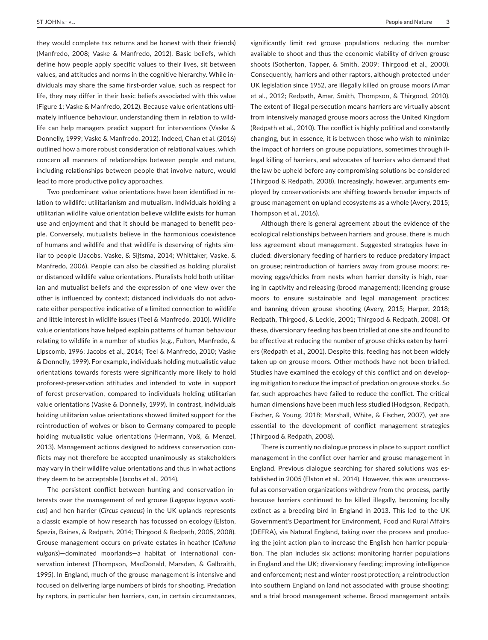they would complete tax returns and be honest with their friends) (Manfredo, 2008; Vaske & Manfredo, 2012). Basic beliefs, which define how people apply specific values to their lives, sit between values, and attitudes and norms in the cognitive hierarchy. While individuals may share the same first‐order value, such as respect for life, they may differ in their basic beliefs associated with this value (Figure 1; Vaske & Manfredo, 2012). Because value orientations ultimately influence behaviour, understanding them in relation to wildlife can help managers predict support for interventions (Vaske & Donnelly, 1999; Vaske & Manfredo, 2012). Indeed, Chan et al. (2016) outlined how a more robust consideration of relational values, which concern all manners of relationships between people and nature, including relationships between people that involve nature, would lead to more productive policy approaches.

Two predominant value orientations have been identified in relation to wildlife: utilitarianism and mutualism. Individuals holding a utilitarian wildlife value orientation believe wildlife exists for human use and enjoyment and that it should be managed to benefit people. Conversely, mutualists believe in the harmonious coexistence of humans and wildlife and that wildlife is deserving of rights similar to people (Jacobs, Vaske, & Sijtsma, 2014; Whittaker, Vaske, & Manfredo, 2006). People can also be classified as holding pluralist or distanced wildlife value orientations. Pluralists hold both utilitarian and mutualist beliefs and the expression of one view over the other is influenced by context; distanced individuals do not advocate either perspective indicative of a limited connection to wildlife and little interest in wildlife issues (Teel & Manfredo, 2010). Wildlife value orientations have helped explain patterns of human behaviour relating to wildlife in a number of studies (e.g., Fulton, Manfredo, & Lipscomb, 1996; Jacobs et al., 2014; Teel & Manfredo, 2010; Vaske & Donnelly, 1999). For example, individuals holding mutualistic value orientations towards forests were significantly more likely to hold proforest‐preservation attitudes and intended to vote in support of forest preservation, compared to individuals holding utilitarian value orientations (Vaske & Donnelly, 1999). In contrast, individuals holding utilitarian value orientations showed limited support for the reintroduction of wolves or bison to Germany compared to people holding mutualistic value orientations (Hermann, Voß, & Menzel, 2013). Management actions designed to address conservation conflicts may not therefore be accepted unanimously as stakeholders may vary in their wildlife value orientations and thus in what actions they deem to be acceptable (Jacobs et al., 2014).

The persistent conflict between hunting and conservation interests over the management of red grouse (*Lagopus lagopus scoti‐ cus*) and hen harrier (*Circus cyaneus*) in the UK uplands represents a classic example of how research has focussed on ecology (Elston, Spezia, Baines, & Redpath, 2014; Thirgood & Redpath, 2005, 2008). Grouse management occurs on private estates in heather (*Calluna vulgaris*)—dominated moorlands—a habitat of international conservation interest (Thompson, MacDonald, Marsden, & Galbraith, 1995). In England, much of the grouse management is intensive and focused on delivering large numbers of birds for shooting. Predation by raptors, in particular hen harriers, can, in certain circumstances,

significantly limit red grouse populations reducing the number available to shoot and thus the economic viability of driven grouse shoots (Sotherton, Tapper, & Smith, 2009; Thirgood et al., 2000). Consequently, harriers and other raptors, although protected under UK legislation since 1952, are illegally killed on grouse moors (Amar et al., 2012; Redpath, Amar, Smith, Thompson, & Thirgood, 2010). The extent of illegal persecution means harriers are virtually absent from intensively managed grouse moors across the United Kingdom (Redpath et al., 2010). The conflict is highly political and constantly changing, but in essence, it is between those who wish to minimize the impact of harriers on grouse populations, sometimes through illegal killing of harriers, and advocates of harriers who demand that the law be upheld before any compromising solutions be considered (Thirgood & Redpath, 2008). Increasingly, however, arguments employed by conservationists are shifting towards broader impacts of grouse management on upland ecosystems as a whole (Avery, 2015; Thompson et al., 2016).

Although there is general agreement about the evidence of the ecological relationships between harriers and grouse, there is much less agreement about management. Suggested strategies have included: diversionary feeding of harriers to reduce predatory impact on grouse; reintroduction of harriers away from grouse moors; removing eggs/chicks from nests when harrier density is high, rearing in captivity and releasing (brood management); licencing grouse moors to ensure sustainable and legal management practices; and banning driven grouse shooting (Avery, 2015; Harper, 2018; Redpath, Thirgood, & Leckie, 2001; Thirgood & Redpath, 2008). Of these, diversionary feeding has been trialled at one site and found to be effective at reducing the number of grouse chicks eaten by harriers (Redpath et al., 2001). Despite this, feeding has not been widely taken up on grouse moors. Other methods have not been trialled. Studies have examined the ecology of this conflict and on developing mitigation to reduce the impact of predation on grouse stocks. So far, such approaches have failed to reduce the conflict. The critical human dimensions have been much less studied (Hodgson, Redpath, Fischer, & Young, 2018; Marshall, White, & Fischer, 2007), yet are essential to the development of conflict management strategies (Thirgood & Redpath, 2008).

There is currently no dialogue process in place to support conflict management in the conflict over harrier and grouse management in England. Previous dialogue searching for shared solutions was established in 2005 (Elston et al., 2014). However, this was unsuccessful as conservation organizations withdrew from the process, partly because harriers continued to be killed illegally, becoming locally extinct as a breeding bird in England in 2013. This led to the UK Government's Department for Environment, Food and Rural Affairs (DEFRA), via Natural England, taking over the process and producing the joint action plan to increase the English hen harrier population. The plan includes six actions: monitoring harrier populations in England and the UK; diversionary feeding; improving intelligence and enforcement; nest and winter roost protection; a reintroduction into southern England on land not associated with grouse shooting; and a trial brood management scheme. Brood management entails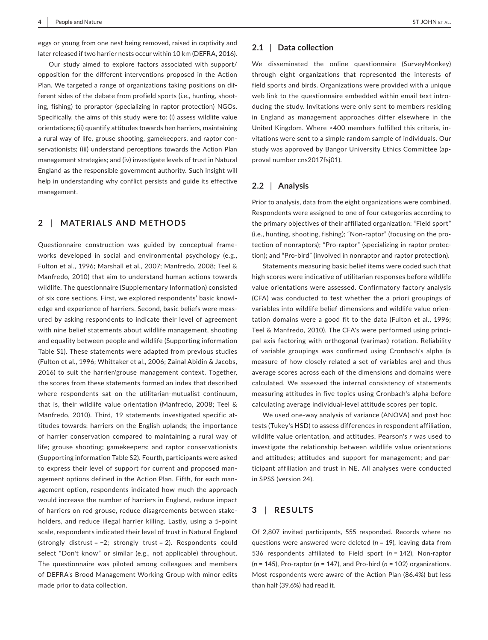eggs or young from one nest being removed, raised in captivity and later released if two harrier nests occur within 10 km (DEFRA, 2016).

Our study aimed to explore factors associated with support/ opposition for the different interventions proposed in the Action Plan. We targeted a range of organizations taking positions on different sides of the debate from profield sports (i.e., hunting, shooting, fishing) to proraptor (specializing in raptor protection) NGOs. Specifically, the aims of this study were to: (i) assess wildlife value orientations; (ii) quantify attitudes towards hen harriers, maintaining a rural way of life, grouse shooting, gamekeepers, and raptor conservationists; (iii) understand perceptions towards the Action Plan management strategies; and (iv) investigate levels of trust in Natural England as the responsible government authority. Such insight will help in understanding why conflict persists and guide its effective management.

# **2** | **MATERIALS AND METHODS**

Questionnaire construction was guided by conceptual frameworks developed in social and environmental psychology (e.g., Fulton et al., 1996; Marshall et al., 2007; Manfredo, 2008; Teel & Manfredo, 2010) that aim to understand human actions towards wildlife. The questionnaire (Supplementary Information) consisted of six core sections. First, we explored respondents' basic knowledge and experience of harriers. Second, basic beliefs were measured by asking respondents to indicate their level of agreement with nine belief statements about wildlife management, shooting and equality between people and wildlife (Supporting information Table S1). These statements were adapted from previous studies (Fulton et al., 1996; Whittaker et al., 2006; Zainal Abidin & Jacobs, 2016) to suit the harrier/grouse management context. Together, the scores from these statements formed an index that described where respondents sat on the utilitarian-mutualist continuum, that is, their wildlife value orientation (Manfredo, 2008; Teel & Manfredo, 2010). Third, 19 statements investigated specific attitudes towards: harriers on the English uplands; the importance of harrier conservation compared to maintaining a rural way of life; grouse shooting; gamekeepers; and raptor conservationists (Supporting information Table S2). Fourth, participants were asked to express their level of support for current and proposed management options defined in the Action Plan. Fifth, for each management option, respondents indicated how much the approach would increase the number of harriers in England, reduce impact of harriers on red grouse, reduce disagreements between stakeholders, and reduce illegal harrier killing. Lastly, using a 5‐point scale, respondents indicated their level of trust in Natural England (strongly distrust = −2; strongly trust = 2). Respondents could select "Don't know" or similar (e.g., not applicable) throughout. The questionnaire was piloted among colleagues and members of DEFRA's Brood Management Working Group with minor edits made prior to data collection.

## **2.1** | **Data collection**

We disseminated the online questionnaire (SurveyMonkey) through eight organizations that represented the interests of field sports and birds. Organizations were provided with a unique web link to the questionnaire embedded within email text introducing the study. Invitations were only sent to members residing in England as management approaches differ elsewhere in the United Kingdom. Where >400 members fulfilled this criteria, invitations were sent to a simple random sample of individuals. Our study was approved by Bangor University Ethics Committee (approval number cns2017fsj01).

# **2.2** | **Analysis**

Prior to analysis, data from the eight organizations were combined. Respondents were assigned to one of four categories according to the primary objectives of their affiliated organization: "Field sport" (i.e., hunting, shooting, fishing); "Non‐raptor" (focusing on the protection of nonraptors); "Pro‐raptor" (specializing in raptor protection); and "Pro‐bird" (involved in nonraptor and raptor protection).

Statements measuring basic belief items were coded such that high scores were indicative of utilitarian responses before wildlife value orientations were assessed. Confirmatory factory analysis (CFA) was conducted to test whether the a priori groupings of variables into wildlife belief dimensions and wildlife value orientation domains were a good fit to the data (Fulton et al., 1996; Teel & Manfredo, 2010). The CFA's were performed using principal axis factoring with orthogonal (varimax) rotation. Reliability of variable groupings was confirmed using Cronbach's alpha (a measure of how closely related a set of variables are) and thus average scores across each of the dimensions and domains were calculated. We assessed the internal consistency of statements measuring attitudes in five topics using Cronbach's alpha before calculating average individual‐level attitude scores per topic.

We used one-way analysis of variance (ANOVA) and post hoc tests (Tukey's HSD) to assess differences in respondent affiliation, wildlife value orientation, and attitudes. Pearson's *r* was used to investigate the relationship between wildlife value orientations and attitudes; attitudes and support for management; and participant affiliation and trust in NE. All analyses were conducted in SPSS (version 24).

## **3** | **RESULTS**

Of 2,807 invited participants, 555 responded. Records where no questions were answered were deleted (*n* = 19), leaving data from 536 respondents affiliated to Field sport (*n* = 142), Non‐raptor (*n* = 145), Pro‐raptor (*n* = 147), and Pro‐bird (*n* = 102) organizations. Most respondents were aware of the Action Plan (86.4%) but less than half (39.6%) had read it.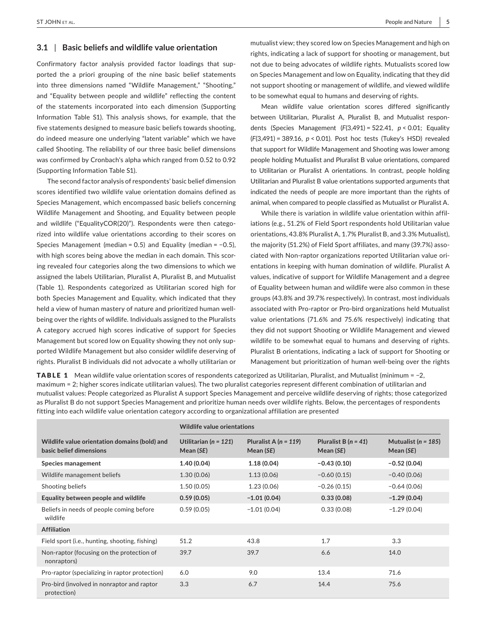#### **3.1** | **Basic beliefs and wildlife value orientation**

Confirmatory factor analysis provided factor loadings that supported the a priori grouping of the nine basic belief statements into three dimensions named "Wildlife Management," "Shooting," and "Equality between people and wildlife" reflecting the content of the statements incorporated into each dimension (Supporting Information Table S1). This analysis shows, for example, that the five statements designed to measure basic beliefs towards shooting, do indeed measure one underlying "latent variable" which we have called Shooting. The reliability of our three basic belief dimensions was confirmed by Cronbach's alpha which ranged from 0.52 to 0.92 (Supporting Information Table S1).

The second factor analysis of respondents' basic belief dimension scores identified two wildlife value orientation domains defined as Species Management, which encompassed basic beliefs concerning Wildlife Management and Shooting, and Equality between people and wildlife ("EqualityCOR(20)"). Respondents were then categorized into wildlife value orientations according to their scores on Species Management (median = 0.5) and Equality (median = −0.5), with high scores being above the median in each domain. This scoring revealed four categories along the two dimensions to which we assigned the labels Utilitarian, Pluralist A, Pluralist B, and Mutualist (Table 1). Respondents categorized as Utilitarian scored high for both Species Management and Equality, which indicated that they held a view of human mastery of nature and prioritized human wellbeing over the rights of wildlife*.* Individuals assigned to the Pluralists A category accrued high scores indicative of support for Species Management but scored low on Equality showing they not only supported Wildlife Management but also consider wildlife deserving of rights. Pluralist B individuals did not advocate a wholly utilitarian or

mutualist view; they scored low on Species Management and high on rights, indicating a lack of support for shooting or management, but not due to being advocates of wildlife rights. Mutualists scored low on Species Management and low on Equality, indicating that they did not support shooting or management of wildlife, and viewed wildlife to be somewhat equal to humans and deserving of rights.

Mean wildlife value orientation scores differed significantly between Utilitarian, Pluralist A, Pluralist B, and Mutualist respondents (Species Management (*F*(3,491) = 522.41, *p* < 0.01; Equality (*F*(3,491) = 389.16, *p* < 0.01). Post hoc tests (Tukey's HSD) revealed that support for Wildlife Management and Shooting was lower among people holding Mutualist and Pluralist B value orientations, compared to Utilitarian or Pluralist A orientations. In contrast, people holding Utilitarian and Pluralist B value orientations supported arguments that indicated the needs of people are more important than the rights of animal, when compared to people classified as Mutualist or Pluralist A.

While there is variation in wildlife value orientation within affiliations (e.g., 51.2% of Field Sport respondents hold Utilitarian value orientations, 43.8% Pluralist A, 1.7% Pluralist B, and 3.3% Mutualist), the majority (51.2%) of Field Sport affiliates, and many (39.7%) associated with Non‐raptor organizations reported Utilitarian value orientations in keeping with human domination of wildlife. Pluralist A values, indicative of support for Wildlife Management and a degree of Equality between human and wildlife were also common in these groups (43.8% and 39.7% respectively). In contrast, most individuals associated with Pro‐raptor or Pro‐bird organizations held Mutualist value orientations (71.6% and 75.6% respectively) indicating that they did not support Shooting or Wildlife Management and viewed wildlife to be somewhat equal to humans and deserving of rights. Pluralist B orientations, indicating a lack of support for Shooting or Management but prioritization of human well‐being over the rights

TABLE 1 Mean wildlife value orientation scores of respondents categorized as Utilitarian, Pluralist, and Mutualist (minimum = −2, maximum = 2; higher scores indicate utilitarian values). The two pluralist categories represent different combination of utilitarian and mutualist values: People categorized as Pluralist A support Species Management and perceive wildlife deserving of rights; those categorized as Pluralist B do not support Species Management and prioritize human needs over wildlife rights. Below, the percentages of respondents fitting into each wildlife value orientation category according to organizational affiliation are presented

|                                                                          | Wildlife value orientations            |                                      |                                       |                                        |
|--------------------------------------------------------------------------|----------------------------------------|--------------------------------------|---------------------------------------|----------------------------------------|
|                                                                          |                                        |                                      |                                       |                                        |
| Wildlife value orientation domains (bold) and<br>basic belief dimensions | Utilitarian ( $n = 121$ )<br>Mean (SE) | Pluralist A $(n = 119)$<br>Mean (SE) | Pluralist B $(n = 41)$<br>Mean $(SE)$ | Mutualist ( $n = 185$ )<br>Mean $(SE)$ |
| <b>Species management</b>                                                | 1.40(0.04)                             | 1.18(0.04)                           | $-0.43(0.10)$                         | $-0.52(0.04)$                          |
| Wildlife management beliefs                                              | 1.30(0.06)                             | 1.13(0.06)                           | $-0.60(0.15)$                         | $-0.40(0.06)$                          |
| Shooting beliefs                                                         | 1.50(0.05)                             | 1.23(0.06)                           | $-0.26(0.15)$                         | $-0.64(0.06)$                          |
| Equality between people and wildlife                                     | 0.59(0.05)                             | $-1.01(0.04)$                        | 0.33(0.08)                            | $-1.29(0.04)$                          |
| Beliefs in needs of people coming before<br>wildlife                     | 0.59(0.05)                             | $-1.01(0.04)$                        | 0.33(0.08)                            | $-1.29(0.04)$                          |
| <b>Affiliation</b>                                                       |                                        |                                      |                                       |                                        |
| Field sport (i.e., hunting, shooting, fishing)                           | 51.2                                   | 43.8                                 | 1.7                                   | 3.3                                    |
| Non-raptor (focusing on the protection of<br>nonraptors)                 | 39.7                                   | 39.7                                 | 6.6                                   | 14.0                                   |
| Pro-raptor (specializing in raptor protection)                           | 6.0                                    | 9.0                                  | 13.4                                  | 71.6                                   |
| Pro-bird (involved in nonraptor and raptor<br>protection)                | 3.3                                    | 6.7                                  | 14.4                                  | 75.6                                   |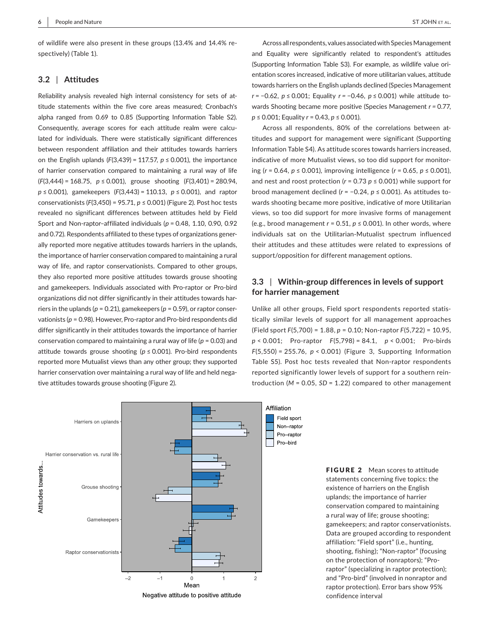of wildlife were also present in these groups (13.4% and 14.4% respectively) (Table 1).

#### **3.2** | **Attitudes**

Reliability analysis revealed high internal consistency for sets of attitude statements within the five core areas measured; Cronbach's alpha ranged from 0.69 to 0.85 (Supporting Information Table S2). Consequently, average scores for each attitude realm were calculated for individuals. There were statistically significant differences between respondent affiliation and their attitudes towards harriers on the English uplands  $(F(3,439) = 117.57, p \le 0.001)$ , the importance of harrier conservation compared to maintaining a rural way of life (*F*(3,444) = 168.75, *p* ≤ 0.001), grouse shooting (*F*(3,401) = 280.94, *p* ≤ 0.001), gamekeepers (*F*(3,443) = 110.13, *p* ≤ 0.001), and raptor conservationists (*F*(3,450) = 95.71, *p* ≤ 0.001) (Figure 2). Post hoc tests revealed no significant differences between attitudes held by Field Sport and Non‐raptor–affiliated individuals (*p* = 0.48, 1.10, 0.90, 0.92 and 0.72). Respondents affiliated to these types of organizations generally reported more negative attitudes towards harriers in the uplands, the importance of harrier conservation compared to maintaining a rural way of life, and raptor conservationists. Compared to other groups, they also reported more positive attitudes towards grouse shooting and gamekeepers. Individuals associated with Pro-raptor or Pro-bird organizations did not differ significantly in their attitudes towards harriers in the uplands ( $p = 0.21$ ), gamekeepers ( $p = 0.59$ ), or raptor conservationists (p = 0.98). However, Pro-raptor and Pro-bird respondents did differ significantly in their attitudes towards the importance of harrier conservation compared to maintaining a rural way of life (*p* = 0.03) and attitude towards grouse shooting (*p* ≤ 0.001). Pro‐bird respondents reported more Mutualist views than any other group; they supported harrier conservation over maintaining a rural way of life and held negative attitudes towards grouse shooting (Figure 2).

Across all respondents, values associated with Species Management and Equality were significantly related to respondent's attitudes (Supporting Information Table S3). For example, as wildlife value orientation scores increased, indicative of more utilitarian values, attitude towards harriers on the English uplands declined (Species Management *r* = −0.62, *p* ≤ 0.001; Equality *r =* −0.46, *p* ≤ 0.001) while attitude towards Shooting became more positive (Species Management *r =* 0.77, *p* ≤ 0.001; Equality *r* = 0.43, *p* ≤ 0.001).

Across all respondents, 80% of the correlations between attitudes and support for management were significant (Supporting Information Table S4). As attitude scores towards harriers increased, indicative of more Mutualist views, so too did support for monitoring (*r* = 0.64, *p* ≤ 0.001), improving intelligence (*r* = 0.65, *p* ≤ 0.001), and nest and roost protection ( $r = 0.73$   $p \le 0.001$ ) while support for brood management declined (*r* = −0.24, *p* ≤ 0.001). As attitudes towards shooting became more positive, indicative of more Utilitarian views, so too did support for more invasive forms of management (e.g., brood management  $r = 0.51$ ,  $p \le 0.001$ ). In other words, where individuals sat on the Utilitarian‐Mutualist spectrum influenced their attitudes and these attitudes were related to expressions of support/opposition for different management options.

# **3.3** | **Within‐group differences in levels of support for harrier management**

Unlike all other groups, Field sport respondents reported statistically similar levels of support for all management approaches (Field sport *F*(5,700) = 1.88, *p* = 0.10; Non‐raptor *F*(5,722) = 10.95, *p* < 0.001; Pro‐raptor *F*(5,798) = 84.1, *p* < 0.001; Pro‐birds *F*(5,550) = 255.76, *p* < 0.001) (Figure 3, Supporting Information Table S5). Post hoc tests revealed that Non-raptor respondents reported significantly lower levels of support for a southern reintroduction (*M* = 0.05, *SD* = 1.22) compared to other management



Negative attitude to positive attitude

**FIGURE 2** Mean scores to attitude statements concerning five topics: the existence of harriers on the English uplands; the importance of harrier conservation compared to maintaining a rural way of life; grouse shooting; gamekeepers; and raptor conservationists. Data are grouped according to respondent affiliation: "Field sport" (i.e., hunting, shooting, fishing); "Non‐raptor" (focusing on the protection of nonraptors); "Pro‐ raptor" (specializing in raptor protection); and "Pro‐bird" (involved in nonraptor and raptor protection). Error bars show 95% confidence interval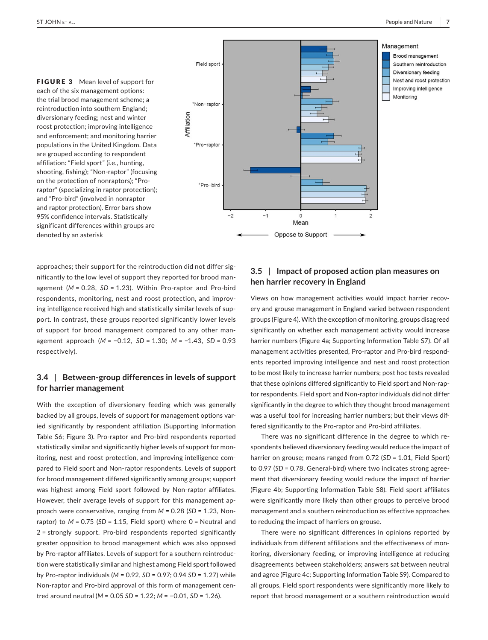FIGURE 3 Mean level of support for each of the six management options: the trial brood management scheme; a reintroduction into southern England; diversionary feeding; nest and winter roost protection; improving intelligence and enforcement; and monitoring harrier populations in the United Kingdom. Data are grouped according to respondent affiliation: "Field sport" (i.e., hunting, shooting, fishing); "Non‐raptor" (focusing on the protection of nonraptors); "Pro‐ raptor" (specializing in raptor protection); and "Pro‐bird" (involved in nonraptor and raptor protection). Error bars show 95% confidence intervals. Statistically significant differences within groups are denoted by an asterisk



approaches; their support for the reintroduction did not differ significantly to the low level of support they reported for brood management (*M* = 0.28, *SD* = 1.23). Within Pro‐raptor and Pro‐bird respondents, monitoring, nest and roost protection, and improving intelligence received high and statistically similar levels of support. In contrast, these groups reported significantly lower levels of support for brood management compared to any other management approach (*M* = −0.12, *SD* = 1.30; *M* = −1.43, *SD* = 0.93 respectively).

# **3.4** | **Between‐group differences in levels of support for harrier management**

With the exception of diversionary feeding which was generally backed by all groups, levels of support for management options varied significantly by respondent affiliation (Supporting Information Table S6; Figure 3). Pro‐raptor and Pro‐bird respondents reported statistically similar and significantly higher levels of support for monitoring, nest and roost protection, and improving intelligence compared to Field sport and Non-raptor respondents. Levels of support for brood management differed significantly among groups; support was highest among Field sport followed by Non-raptor affiliates. However, their average levels of support for this management approach were conservative, ranging from *M* = 0.28 (*SD* = 1.23, Non‐ raptor) to  $M = 0.75$  (*SD* = 1.15, Field sport) where  $0 =$  Neutral and 2 = strongly support. Pro‐bird respondents reported significantly greater opposition to brood management which was also opposed by Pro‐raptor affiliates. Levels of support for a southern reintroduction were statistically similar and highest among Field sport followed by Pro‐raptor individuals (*M* = 0.92, *SD* = 0.97; 0.94 *SD* = 1.27) while Non‐raptor and Pro‐bird approval of this form of management centred around neutral (*M* = 0.05 *SD* = 1.22; *M* = −0.01, *SD* = 1.26).

# **3.5** | **Impact of proposed action plan measures on hen harrier recovery in England**

Views on how management activities would impact harrier recovery and grouse management in England varied between respondent groups (Figure 4). With the exception of monitoring, groups disagreed significantly on whether each management activity would increase harrier numbers (Figure 4a; Supporting Information Table S7). Of all management activities presented, Pro‐raptor and Pro‐bird respondents reported improving intelligence and nest and roost protection to be most likely to increase harrier numbers; post hoc tests revealed that these opinions differed significantly to Field sport and Non‐raptor respondents. Field sport and Non‐raptor individuals did not differ significantly in the degree to which they thought brood management was a useful tool for increasing harrier numbers; but their views differed significantly to the Pro‐raptor and Pro‐bird affiliates.

There was no significant difference in the degree to which respondents believed diversionary feeding would reduce the impact of harrier on grouse; means ranged from 0.72 (*SD* = 1.01, Field Sport) to 0.97 (*SD* = 0.78, General‐bird) where two indicates strong agreement that diversionary feeding would reduce the impact of harrier (Figure 4b; Supporting Information Table S8). Field sport affiliates were significantly more likely than other groups to perceive brood management and a southern reintroduction as effective approaches to reducing the impact of harriers on grouse.

There were no significant differences in opinions reported by individuals from different affiliations and the effectiveness of monitoring, diversionary feeding, or improving intelligence at reducing disagreements between stakeholders; answers sat between neutral and agree (Figure 4c; Supporting Information Table S9). Compared to all groups, Field sport respondents were significantly more likely to report that brood management or a southern reintroduction would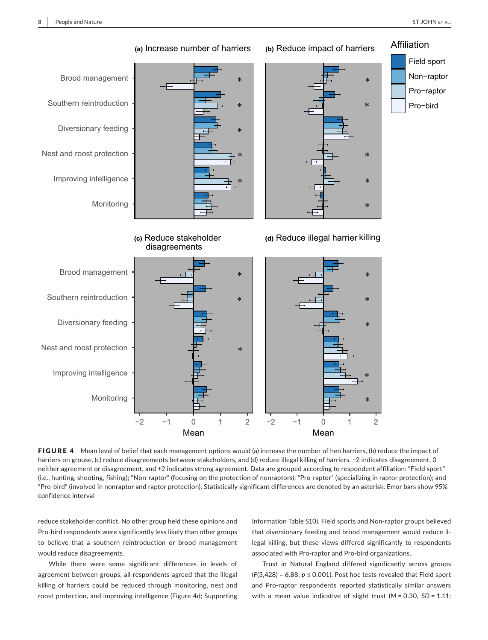

FIGURE 4 Mean level of belief that each management options would (a) increase the number of hen harriers, (b) reduce the impact of harriers on grouse, (c) reduce disagreements between stakeholders, and (d) reduce illegal killing of harriers. −2 indicates disagreement, 0 neither agreement or disagreement, and +2 indicates strong agreement. Data are grouped according to respondent affiliation: "Field sport" (i.e., hunting, shooting, fishing); "Non‐raptor" (focusing on the protection of nonraptors); "Pro‐raptor" (specializing in raptor protection); and "Pro‐bird" (involved in nonraptor and raptor protection). Statistically significant differences are denoted by an asterisk. Error bars show 95% confidence interval

reduce stakeholder conflict. No other group held these opinions and Pro‐bird respondents were significantly less likely than other groups to believe that a southern reintroduction or brood management would reduce disagreements.

While there were some significant differences in levels of agreement between groups, all respondents agreed that the illegal killing of harriers could be reduced through monitoring, nest and roost protection, and improving intelligence (Figure 4d; Supporting

Information Table S10). Field sports and Non‐raptor groups believed that diversionary feeding and brood management would reduce illegal killing, but these views differed significantly to respondents associated with Pro‐raptor and Pro‐bird organizations.

Trust in Natural England differed significantly across groups  $(F(3, 428) = 6.88, p \le 0.001$ ). Post hoc tests revealed that Field sport and Pro‐raptor respondents reported statistically similar answers with a mean value indicative of slight trust (*M* = 0.30, *SD* = 1.11;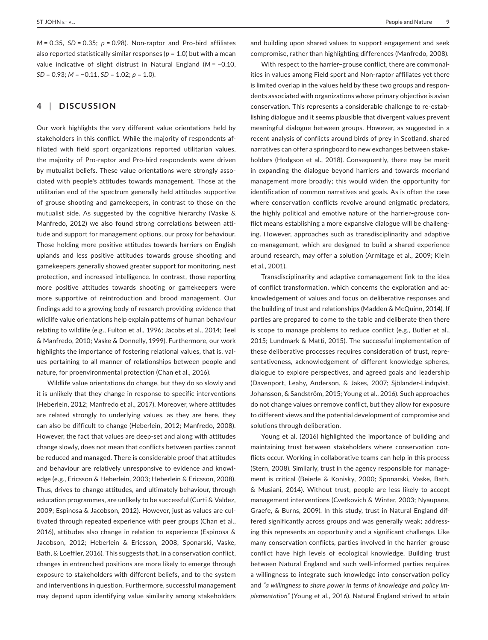*M* = 0.35, *SD* = 0.35; *p* = 0.98). Non‐raptor and Pro‐bird affiliates also reported statistically similar responses ( $p = 1.0$ ) but with a mean value indicative of slight distrust in Natural England (*M* = −0.10, *SD* = 0.93; *M* = −0.11, *SD* = 1.02; *p* = 1.0).

# **4** | **DISCUSSION**

Our work highlights the very different value orientations held by stakeholders in this conflict. While the majority of respondents affiliated with field sport organizations reported utilitarian values, the majority of Pro‐raptor and Pro‐bird respondents were driven by mutualist beliefs. These value orientations were strongly associated with people's attitudes towards management. Those at the utilitarian end of the spectrum generally held attitudes supportive of grouse shooting and gamekeepers, in contrast to those on the mutualist side. As suggested by the cognitive hierarchy (Vaske & Manfredo, 2012) we also found strong correlations between attitude and support for management options, our proxy for behaviour. Those holding more positive attitudes towards harriers on English uplands and less positive attitudes towards grouse shooting and gamekeepers generally showed greater support for monitoring, nest protection, and increased intelligence. In contrast, those reporting more positive attitudes towards shooting or gamekeepers were more supportive of reintroduction and brood management. Our findings add to a growing body of research providing evidence that wildlife value orientations help explain patterns of human behaviour relating to wildlife (e.g., Fulton et al., 1996; Jacobs et al., 2014; Teel & Manfredo, 2010; Vaske & Donnelly, 1999). Furthermore, our work highlights the importance of fostering relational values, that is, values pertaining to all manner of relationships between people and nature, for proenvironmental protection (Chan et al., 2016).

Wildlife value orientations do change, but they do so slowly and it is unlikely that they change in response to specific interventions (Heberlein, 2012; Manfredo et al., 2017). Moreover, where attitudes are related strongly to underlying values, as they are here, they can also be difficult to change (Heberlein, 2012; Manfredo, 2008). However, the fact that values are deep‐set and along with attitudes change slowly, does not mean that conflicts between parties cannot be reduced and managed. There is considerable proof that attitudes and behaviour are relatively unresponsive to evidence and knowledge (e.g., Ericsson & Heberlein, 2003; Heberlein & Ericsson, 2008). Thus, drives to change attitudes, and ultimately behaviour, through education programmes, are unlikely to be successful (Curti & Valdez, 2009; Espinosa & Jacobson, 2012). However, just as values are cultivated through repeated experience with peer groups (Chan et al., 2016), attitudes also change in relation to experience (Espinosa & Jacobson, 2012; Heberlein & Ericsson, 2008; Sponarski, Vaske, Bath, & Loeffler, 2016). This suggests that, in a conservation conflict, changes in entrenched positions are more likely to emerge through exposure to stakeholders with different beliefs, and to the system and interventions in question. Furthermore, successful management may depend upon identifying value similarity among stakeholders

and building upon shared values to support engagement and seek compromise, rather than highlighting differences (Manfredo, 2008).

With respect to the harrier–grouse conflict, there are commonalities in values among Field sport and Non‐raptor affiliates yet there is limited overlap in the values held by these two groups and respondents associated with organizations whose primary objective is avian conservation. This represents a considerable challenge to re‐establishing dialogue and it seems plausible that divergent values prevent meaningful dialogue between groups. However, as suggested in a recent analysis of conflicts around birds of prey in Scotland, shared narratives can offer a springboard to new exchanges between stakeholders (Hodgson et al., 2018). Consequently, there may be merit in expanding the dialogue beyond harriers and towards moorland management more broadly; this would widen the opportunity for identification of common narratives and goals. As is often the case where conservation conflicts revolve around enigmatic predators, the highly political and emotive nature of the harrier–grouse conflict means establishing a more expansive dialogue will be challenging. However, approaches such as transdisciplinarity and adaptive co‐management, which are designed to build a shared experience around research, may offer a solution (Armitage et al., 2009; Klein et al., 2001).

Transdisciplinarity and adaptive comanagement link to the idea of conflict transformation, which concerns the exploration and acknowledgement of values and focus on deliberative responses and the building of trust and relationships (Madden & McQuinn, 2014). If parties are prepared to come to the table and deliberate then there is scope to manage problems to reduce conflict (e.g., Butler et al., 2015; Lundmark & Matti, 2015). The successful implementation of these deliberative processes requires consideration of trust, representativeness, acknowledgement of different knowledge spheres, dialogue to explore perspectives, and agreed goals and leadership (Davenport, Leahy, Anderson, & Jakes, 2007; Sjölander‐Lindqvist, Johansson, & Sandström, 2015; Young et al., 2016). Such approaches do not change values or remove conflict, but they allow for exposure to different views and the potential development of compromise and solutions through deliberation.

Young et al. (2016) highlighted the importance of building and maintaining trust between stakeholders where conservation conflicts occur. Working in collaborative teams can help in this process (Stern, 2008). Similarly, trust in the agency responsible for management is critical (Beierle & Konisky, 2000; Sponarski, Vaske, Bath, & Musiani, 2014). Without trust, people are less likely to accept management interventions (Cvetkovich & Winter, 2003; Nyaupane, Graefe, & Burns, 2009). In this study, trust in Natural England differed significantly across groups and was generally weak; addressing this represents an opportunity and a significant challenge. Like many conservation conflicts, parties involved in the harrier–grouse conflict have high levels of ecological knowledge. Building trust between Natural England and such well‐informed parties requires a willingness to integrate such knowledge into conservation policy and *"a willingness to share power in terms of knowledge and policy im‐ plementation"* (Young et al., 2016). Natural England strived to attain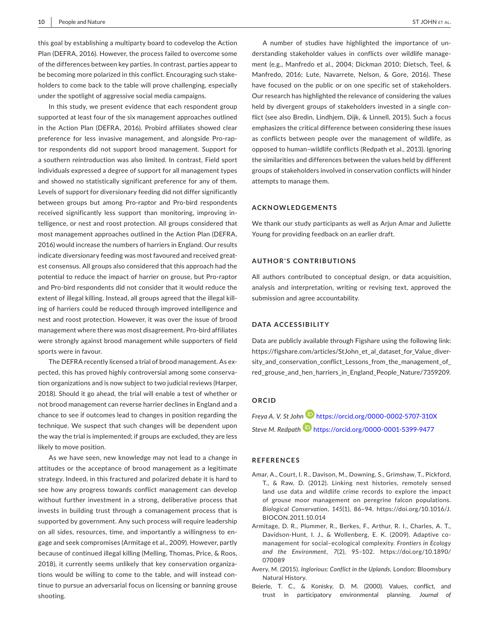this goal by establishing a multiparty board to codevelop the Action Plan (DEFRA, 2016). However, the process failed to overcome some of the differences between key parties. In contrast, parties appear to be becoming more polarized in this conflict. Encouraging such stakeholders to come back to the table will prove challenging, especially under the spotlight of aggressive social media campaigns.

In this study, we present evidence that each respondent group supported at least four of the six management approaches outlined in the Action Plan (DEFRA, 2016). Probird affiliates showed clear preference for less invasive management, and alongside Pro‐raptor respondents did not support brood management. Support for a southern reintroduction was also limited. In contrast, Field sport individuals expressed a degree of support for all management types and showed no statistically significant preference for any of them. Levels of support for diversionary feeding did not differ significantly between groups but among Pro‐raptor and Pro‐bird respondents received significantly less support than monitoring, improving intelligence, or nest and roost protection. All groups considered that most management approaches outlined in the Action Plan (DEFRA, 2016) would increase the numbers of harriers in England. Our results indicate diversionary feeding was most favoured and received greatest consensus. All groups also considered that this approach had the potential to reduce the impact of harrier on grouse, but Pro‐raptor and Pro‐bird respondents did not consider that it would reduce the extent of illegal killing. Instead, all groups agreed that the illegal killing of harriers could be reduced through improved intelligence and nest and roost protection. However, it was over the issue of brood management where there was most disagreement. Pro‐bird affiliates were strongly against brood management while supporters of field sports were in favour.

The DEFRA recently licensed a trial of brood management. As expected, this has proved highly controversial among some conservation organizations and is now subject to two judicial reviews (Harper, 2018). Should it go ahead, the trial will enable a test of whether or not brood management can reverse harrier declines in England and a chance to see if outcomes lead to changes in position regarding the technique. We suspect that such changes will be dependent upon the way the trial is implemented; if groups are excluded, they are less likely to move position.

As we have seen, new knowledge may not lead to a change in attitudes or the acceptance of brood management as a legitimate strategy. Indeed, in this fractured and polarized debate it is hard to see how any progress towards conflict management can develop without further investment in a strong, deliberative process that invests in building trust through a comanagement process that is supported by government. Any such process will require leadership on all sides, resources, time, and importantly a willingness to engage and seek compromises (Armitage et al., 2009). However, partly because of continued illegal killing (Melling, Thomas, Price, & Roos, 2018), it currently seems unlikely that key conservation organizations would be willing to come to the table, and will instead continue to pursue an adversarial focus on licensing or banning grouse shooting.

A number of studies have highlighted the importance of understanding stakeholder values in conflicts over wildlife management (e.g., Manfredo et al., 2004; Dickman 2010; Dietsch, Teel, & Manfredo, 2016; Lute, Navarrete, Nelson, & Gore, 2016). These have focused on the public or on one specific set of stakeholders. Our research has highlighted the relevance of considering the values held by divergent groups of stakeholders invested in a single conflict (see also Bredin, Lindhjem, Dijk, & Linnell, 2015). Such a focus emphasizes the critical difference between considering these issues as conflicts between people over the management of wildlife, as opposed to human–wildlife conflicts (Redpath et al., 2013). Ignoring the similarities and differences between the values held by different groups of stakeholders involved in conservation conflicts will hinder attempts to manage them.

#### **ACKNOWLEDGEMENTS**

We thank our study participants as well as Arjun Amar and Juliette Young for providing feedback on an earlier draft.

#### **AUTHOR'S CONTRIBUTIONS**

All authors contributed to conceptual design, or data acquisition, analysis and interpretation, writing or revising text, approved the submission and agree accountability.

# **DATA ACCESSIBILITY**

Data are publicly available through Figshare using the following link: [https://figshare.com/articles/StJohn\\_et\\_al\\_dataset\\_for\\_Value\\_diver](https://figshare.com/articles/StJohn_et_al_dataset_for_Value_diversity_and_conservation_conflict_Lessons_from_the_management_of_red_grouse_and_hen_harriers_in_England_People_Nature/7359209)sity and conservation conflict Lessons from the management of [red\\_grouse\\_and\\_hen\\_harriers\\_in\\_England\\_People\\_Nature/7359209](https://figshare.com/articles/StJohn_et_al_dataset_for_Value_diversity_and_conservation_conflict_Lessons_from_the_management_of_red_grouse_and_hen_harriers_in_England_People_Nature/7359209).

#### **ORCID**

*Freya A. V. St John* <https://orcid.org/0000-0002-5707-310X> *Steve M. Redpath* <https://orcid.org/0000-0001-5399-9477>

#### **REFERENCES**

- Amar, A., Court, I. R., Davison, M., Downing, S., Grimshaw, T., Pickford, T., & Raw, D. (2012). Linking nest histories, remotely sensed land use data and wildlife crime records to explore the impact of grouse moor management on peregrine falcon populations. *Biological Conservation*, *145*(1), 86–94. [https://doi.org/10.1016/J.](https://doi.org/10.1016/J.BIOCON.2011.10.014) [BIOCON.2011.10.014](https://doi.org/10.1016/J.BIOCON.2011.10.014)
- Armitage, D. R., Plummer, R., Berkes, F., Arthur, R. I., Charles, A. T., Davidson-Hunt, I. J., & Wollenberg, E. K. (2009). Adaptive comanagement for social–ecological complexity. *Frontiers in Ecology and the Environment*, *7*(2), 95–102. [https://doi.org/10.1890/](https://doi.org/10.1890/070089) [070089](https://doi.org/10.1890/070089)
- Avery, M. (2015). *Inglorious: Conflict in the Uplands*. London: Bloomsbury Natural History.
- Beierle, T. C., & Konisky, D. M. (2000). Values, conflict, and trust in participatory environmental planning. *Journal of*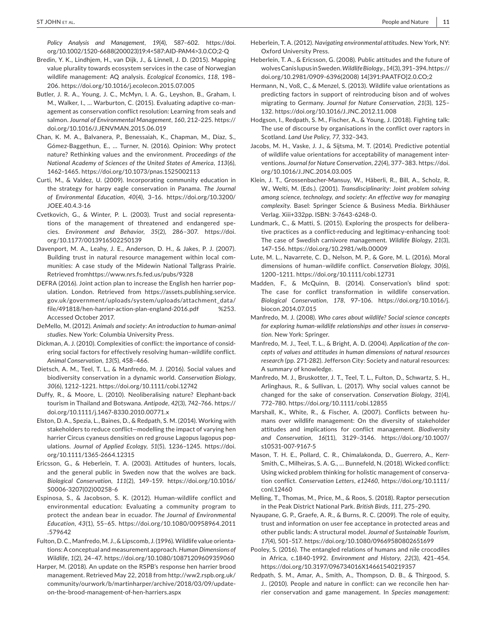*Policy Analysis and Management*, *19*(4), 587–602. [https://doi.](https://doi.org/10.1002/1520-6688(200023)19:4<587:AID-PAM4>3.0.CO;2-Q) [org/10.1002/1520-6688\(200023\)19:4<587:AID-PAM4>3.0.CO;2-Q](https://doi.org/10.1002/1520-6688(200023)19:4<587:AID-PAM4>3.0.CO;2-Q)

- Bredin, Y. K., Lindhjem, H., van Dijk, J., & Linnell, J. D. (2015). Mapping value plurality towards ecosystem services in the case of Norwegian wildlife management: AQ analysis. *Ecological Economics*, *118*, 198– 206. <https://doi.org/10.1016/j.ecolecon.2015.07.005>
- Butler, J. R. A., Young, J. C., McMyn, I. A. G., Leyshon, B., Graham, I. M., Walker, I., ... Warburton, C. (2015). Evaluating adaptive co-management as conservation conflict resolution: Learning from seals and salmon. *Journal of Environmental Management*, *160*, 212–225. [https://](https://doi.org/10.1016/J.JENVMAN.2015.06.019) [doi.org/10.1016/J.JENVMAN.2015.06.019](https://doi.org/10.1016/J.JENVMAN.2015.06.019)
- Chan, K. M. A., Balvanera, P., Benessaiah, K., Chapman, M., Díaz, S., Gómez‐Baggethun, E., … Turner, N. (2016). Opinion: Why protect nature? Rethinking values and the environment. *Proceedings of the National Academy of Sciences of the United States of America*, *113*(6), 1462–1465. <https://doi.org/10.1073/pnas.1525002113>
- Curti, M., & Valdez, U. (2009). Incorporating community education in the strategy for harpy eagle conservation in Panama. *The Journal of Environmental Education*, *40*(4), 3–16. [https://doi.org/10.3200/](https://doi.org/10.3200/JOEE.40.4.3-16) [JOEE.40.4.3-16](https://doi.org/10.3200/JOEE.40.4.3-16)
- Cvetkovich, G., & Winter, P. L. (2003). Trust and social representations of the management of threatened and endangered species. *Environment and Behavior*, *35*(2), 286–307. [https://doi.](https://doi.org/10.1177/0013916502250139) [org/10.1177/0013916502250139](https://doi.org/10.1177/0013916502250139)
- Davenport, M. A., Leahy, J. E., Anderson, D. H., & Jakes, P. J. (2007). Building trust in natural resource management within local communities: A case study of the Midewin National Tallgrass Prairie. Retrieved from<https://www.nrs.fs.fed.us/pubs/9328>
- DEFRA (2016). Joint action plan to increase the English hen harrier population. London. Retrieved from [https://assets.publishing.service.](https://assets.publishing.service.gov.uk/government/uploads/system/uploads/attachment_data/file/491818/hen-harrier-action-plan-england-2016.pdf%3) [gov.uk/government/uploads/system/uploads/attachment\\_data/](https://assets.publishing.service.gov.uk/government/uploads/system/uploads/attachment_data/file/491818/hen-harrier-action-plan-england-2016.pdf%3) [file/491818/hen-harrier-action-plan-england-2016.pdf](https://assets.publishing.service.gov.uk/government/uploads/system/uploads/attachment_data/file/491818/hen-harrier-action-plan-england-2016.pdf%3) %253. Accessed October 2017.
- DeMello, M. (2012). *Animals and society: An introduction to human‐animal studies*. New York: Columbia University Press.
- Dickman, A. J. (2010). Complexities of conflict: the importance of considering social factors for effectively resolving human–wildlife conflict. *Animal Conservation*, *13*(5), 458–466.
- Dietsch, A. M., Teel, T. L., & Manfredo, M. J. (2016). Social values and biodiversity conservation in a dynamic world. *Conservation Biology*, *30*(6), 1212–1221. <https://doi.org/10.1111/cobi.12742>
- Duffy, R., & Moore, L. (2010). Neoliberalising nature? Elephant‐back tourism in Thailand and Botswana. *Antipode*, *42*(3), 742–766. [https://](https://doi.org/10.1111/j.1467-8330.2010.00771.x) [doi.org/10.1111/j.1467-8330.2010.00771.x](https://doi.org/10.1111/j.1467-8330.2010.00771.x)
- Elston, D. A., Spezia, L., Baines, D., & Redpath, S. M. (2014). Working with stakeholders to reduce conflict—modelling the impact of varying hen harrier Circus cyaneus densities on red grouse Lagopus lagopus populations. *Journal of Applied Ecology*, *51*(5), 1236–1245. [https://doi.](https://doi.org/10.1111/1365-2664.12315) [org/10.1111/1365-2664.12315](https://doi.org/10.1111/1365-2664.12315)
- Ericsson, G., & Heberlein, T. A. (2003). Attitudes of hunters, locals, and the general public in Sweden now that the wolves are back. *Biological Conservation*, *111*(2), 149–159. [https://doi.org/10.1016/](https://doi.org/10.1016/S0006-3207(02)00258-6) [S0006-3207\(02\)00258-6](https://doi.org/10.1016/S0006-3207(02)00258-6)
- Espinosa, S., & Jacobson, S. K. (2012). Human‐wildlife conflict and environmental education: Evaluating a community program to protect the andean bear in ecuador. *The Journal of Environmental Education*, *43*(1), 55–65. [https://doi.org/10.1080/00958964.2011](https://doi.org/10.1080/00958964.2011.579642) [.579642](https://doi.org/10.1080/00958964.2011.579642)
- Fulton,D.C.,Manfredo,M. J., & Lipscomb, J. (1996).Wildlife value orientations: A conceptual and measurement approach. *Human Dimensions of Wildlife*, *1*(2), 24–47. <https://doi.org/10.1080/10871209609359060>
- Harper, M. (2018). An update on the RSPB's response hen harrier brood management. Retrieved May 22, 2018 from [http://ww2.rspb.org.uk/](http://ww2.rspb.org.uk/community/ourwork/b/martinharper/archive/2018/03/09/update-on-the-brood-management-of-hen-harriers.aspx) [community/ourwork/b/martinharper/archive/2018/03/09/update](http://ww2.rspb.org.uk/community/ourwork/b/martinharper/archive/2018/03/09/update-on-the-brood-management-of-hen-harriers.aspx)[on-the-brood-management-of-hen-harriers.aspx](http://ww2.rspb.org.uk/community/ourwork/b/martinharper/archive/2018/03/09/update-on-the-brood-management-of-hen-harriers.aspx)
- Heberlein, T. A. (2012). *Navigating environmental attitudes*. New York, NY: Oxford University Press.
- Heberlein, T. A., & Ericsson, G. (2008). Public attitudes and the future of wolvesCanislupusinSweden.*Wildlife Biology.*,*14*(3),391–394.[https://](https://doi.org/10.2981/0909-6396(2008)14[391:PAATFO]2.0.CO;2) [doi.org/10.2981/0909-6396\(2008\)](https://doi.org/10.2981/0909-6396(2008)14[391:PAATFO]2.0.CO;2) 14[391:PAATFO]2.0.CO;2
- Hermann, N., Voß, C., & Menzel, S. (2013). Wildlife value orientations as predicting factors in support of reintroducing bison and of wolves migrating to Germany. *Journal for Nature Conservation*, *21*(3), 125– 132. <https://doi.org/10.1016/J.JNC.2012.11.008>
- Hodgson, I., Redpath, S. M., Fischer, A., & Young, J. (2018). Fighting talk: The use of discourse by organisations in the conflict over raptors in Scotland. *Land Use Policy*, *77*, 332–343.
- Jacobs, M. H., Vaske, J. J., & Sijtsma, M. T. (2014). Predictive potential of wildlife value orientations for acceptability of management interventions. *Journal for Nature Conservation*, *22*(4), 377–383. [https://doi.](https://doi.org/10.1016/J.JNC.2014.03.005) [org/10.1016/J.JNC.2014.03.005](https://doi.org/10.1016/J.JNC.2014.03.005)
- Klein, J. T., Grossenbacher‐Mansuy, W., Häberli, R., Bill, A., Scholz, R. W., Welti, M. (Eds.). (2001). *Transdisciplinarity: Joint problem solving among science, technology, and society: An effective way for managing complexity*. Basel: Springer Science & Business Media. Birkhäuser Verlag. Xiii+332pp. ISBN: 3-7643-6248-0.
- Lundmark, C., & Matti, S. (2015). Exploring the prospects for deliberative practices as a conflict-reducing and legitimacy-enhancing tool: The case of Swedish carnivore management. *Wildlife Biology*, *21*(3), 147–156. <https://doi.org/10.2981/wlb.00009>
- Lute, M. L., Navarrete, C. D., Nelson, M. P., & Gore, M. L. (2016). Moral dimensions of human–wildlife conflict. *Conservation Biology*, *30*(6), 1200–1211. <https://doi.org/10.1111/cobi.12731>
- Madden, F., & McQuinn, B. (2014). Conservation's blind spot: The case for conflict transformation in wildlife conservation. *Biological Conservation*, *178*, 97–106. [https://doi.org/10.1016/j.](https://doi.org/10.1016/j.biocon.2014.07.015) [biocon.2014.07.015](https://doi.org/10.1016/j.biocon.2014.07.015)
- Manfredo, M. J. (2008). *Who cares about wildlife? Social science concepts for exploring human‐wildlife relationships and other issues in conserva‐ tion*. New York: Springer.
- Manfredo, M. J., Teel, T. L., & Bright, A. D. (2004). *Application of the con‐ cepts of values and attitudes in human dimensions of natural resources research* (pp. 271‐282). Jefferson City: Society and natural resources: A summary of knowledge.
- Manfredo, M. J., Bruskotter, J. T., Teel, T. L., Fulton, D., Schwartz, S. H., Arlinghaus, R., & Sullivan, L. (2017). Why social values cannot be changed for the sake of conservation. *Conservation Biology*, *31*(4), 772–780. <https://doi.org/10.1111/cobi.12855>
- Marshall, K., White, R., & Fischer, A. (2007). Conflicts between humans over wildlife management: On the diversity of stakeholder attitudes and implications for conflict management. *Biodiversity and Conservation*, *16*(11), 3129–3146. [https://doi.org/10.1007/](https://doi.org/10.1007/s10531-007-9167-5) [s10531-007-9167-5](https://doi.org/10.1007/s10531-007-9167-5)
- Mason, T. H. E., Pollard, C. R., Chimalakonda, D., Guerrero, A., Kerr‐ Smith, C., Milheiras, S. A. G., … Bunnefeld, N. (2018). Wicked conflict: Using wicked problem thinking for holistic management of conservation conflict. *Conservation Letters*, *e12460*, [https://doi.org/10.1111/](https://doi.org/10.1111/conl.12460) [conl.12460](https://doi.org/10.1111/conl.12460)
- Melling, T., Thomas, M., Price, M., & Roos, S. (2018). Raptor persecution in the Peak District National Park. *British Birds*, *111*, 275–290.
- Nyaupane, G. P., Graefe, A. R., & Burns, R. C. (2009). The role of equity, trust and information on user fee acceptance in protected areas and other public lands: A structural model. *Journal of Sustainable Tourism*, *17*(4), 501–517. <https://doi.org/10.1080/09669580802651699>
- Pooley, S. (2016). The entangled relations of humans and nile crocodiles in Africa, c.1840‐1992. *Environment and History*, *22*(3), 421–454. <https://doi.org/10.3197/096734016X14661540219357>
- Redpath, S. M., Amar, A., Smith, A., Thompson, D. B., & Thirgood, S. J.. (2010). People and nature in conflict: can we reconcile hen harrier conservation and game management. In *Species management:*